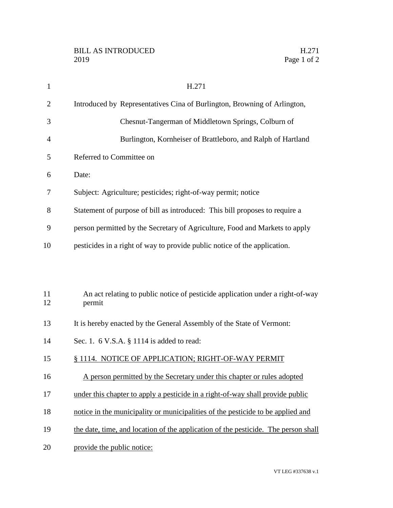| $\mathbf{1}$   | H.271                                                                                    |
|----------------|------------------------------------------------------------------------------------------|
| $\overline{2}$ | Introduced by Representatives Cina of Burlington, Browning of Arlington,                 |
| 3              | Chesnut-Tangerman of Middletown Springs, Colburn of                                      |
| 4              | Burlington, Kornheiser of Brattleboro, and Ralph of Hartland                             |
| 5              | Referred to Committee on                                                                 |
| 6              | Date:                                                                                    |
| 7              | Subject: Agriculture; pesticides; right-of-way permit; notice                            |
| 8              | Statement of purpose of bill as introduced: This bill proposes to require a              |
| 9              | person permitted by the Secretary of Agriculture, Food and Markets to apply              |
| 10             | pesticides in a right of way to provide public notice of the application.                |
|                |                                                                                          |
|                |                                                                                          |
| 11<br>12       | An act relating to public notice of pesticide application under a right-of-way<br>permit |
| 13             | It is hereby enacted by the General Assembly of the State of Vermont:                    |
| 14             | Sec. 1. 6 V.S.A. § 1114 is added to read:                                                |
| 15             | § 1114. NOTICE OF APPLICATION; RIGHT-OF-WAY PERMIT                                       |
| 16             | A person permitted by the Secretary under this chapter or rules adopted                  |
| 17             | under this chapter to apply a pesticide in a right-of-way shall provide public           |
| 18             | notice in the municipality or municipalities of the pesticide to be applied and          |
| 19             | the date, time, and location of the application of the pesticide. The person shall       |
| 20             | provide the public notice:                                                               |